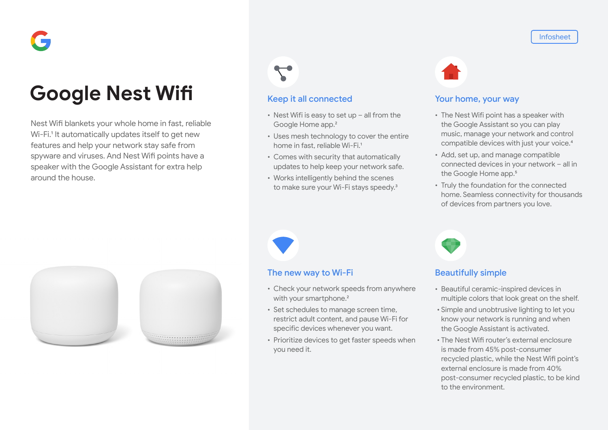# **Google Nest Wifi**

Nest Wifi blankets your whole home in fast, reliable Wi-Fi.<sup>1</sup> It automatically updates itself to get new features and help your network stay safe from spyware and viruses. And Nest Wifi points have a speaker with the Google Assistant for extra help around the house.





## Keep it all connected

- Nest Wifi is easy to set up all from the Google Home app.2
- Uses mesh technology to cover the entire home in fast, reliable Wi-Fi.<sup>1</sup>
- Comes with security that automatically updates to help keep your network safe.
- Works intelligently behind the scenes to make sure your Wi-Fi stays speedy.<sup>3</sup>



### Your home, your way

- The Nest Wifi point has a speaker with the Google Assistant so you can play music, manage your network and control compatible devices with just your voice.4
- Add, set up, and manage compatible connected devices in your network – all in the Google Home app.<sup>5</sup>
- Truly the foundation for the connected home. Seamless connectivity for thousands of devices from partners you love.



## The new way to Wi-Fi

- Check your network speeds from anywhere with your smartphone.<sup>2</sup>
- Set schedules to manage screen time, restrict adult content, and pause Wi-Fi for specific devices whenever you want.
- Prioritize devices to get faster speeds when you need it.

## Beautifully simple

- Beautiful ceramic-inspired devices in multiple colors that look great on the shelf.
- Simple and unobtrusive lighting to let you know your network is running and when the Google Assistant is activated.
- The Nest Wifi router's external enclosure is made from 45% post-consumer recycled plastic, while the Nest Wifi point's external enclosure is made from 40% post-consumer recycled plastic, to be kind to the environment.

#### Infosheet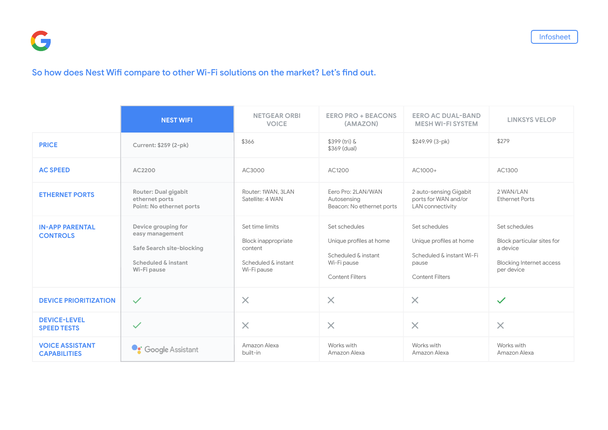## So how does Nest Wifi compare to other Wi-Fi solutions on the market? Let's find out.

|                                               | <b>NEST WIFI</b>                                                                                          | <b>NETGEAR ORBI</b><br><b>VOICE</b>                                                     | <b>EERO PRO + BEACONS</b><br>(AMAZON)                                                                    | <b>EERO AC DUAL-BAND</b><br><b>MESH WI-FI SYSTEM</b>                                                     | <b>LINKSYS VELOP</b>                                                                                     |
|-----------------------------------------------|-----------------------------------------------------------------------------------------------------------|-----------------------------------------------------------------------------------------|----------------------------------------------------------------------------------------------------------|----------------------------------------------------------------------------------------------------------|----------------------------------------------------------------------------------------------------------|
| <b>PRICE</b>                                  | Current: \$259 (2-pk)                                                                                     | \$366                                                                                   | \$399 (tri) &<br>\$369 (dual)                                                                            | $$249.99(3-pk)$                                                                                          | \$279                                                                                                    |
| <b>AC SPEED</b>                               | AC2200                                                                                                    | AC3000                                                                                  | AC1200                                                                                                   | AC1000+                                                                                                  | AC1300                                                                                                   |
| <b>ETHERNET PORTS</b>                         | <b>Router: Dual gigabit</b><br>ethernet ports<br>Point: No ethernet ports                                 | Router: 1WAN, 3LAN<br>Satellite: 4 WAN                                                  | Eero Pro: 2LAN/WAN<br>Autosensing<br>Beacon: No ethernet ports                                           | 2 auto-sensing Gigabit<br>ports for WAN and/or<br><b>LAN</b> connectivity                                | 2 WAN/LAN<br><b>Ethernet Ports</b>                                                                       |
| <b>IN-APP PARENTAL</b><br><b>CONTROLS</b>     | Device grouping for<br>easy management<br>Safe Search site-blocking<br>Scheduled & instant<br>Wi-Fi pause | Set time limits<br>Block inappropriate<br>content<br>Scheduled & instant<br>Wi-Fi pause | Set schedules<br>Unique profiles at home<br>Scheduled & instant<br>Wi-Fi pause<br><b>Content Filters</b> | Set schedules<br>Unique profiles at home<br>Scheduled & instant Wi-Fi<br>pause<br><b>Content Filters</b> | Set schedules<br>Block particular sites for<br>a device<br><b>Blocking Internet access</b><br>per device |
| <b>DEVICE PRIORITIZATION</b>                  | $\checkmark$                                                                                              | $\times$                                                                                | $\times$                                                                                                 | $\times$                                                                                                 | $\checkmark$                                                                                             |
| <b>DEVICE-LEVEL</b><br><b>SPEED TESTS</b>     | $\checkmark$                                                                                              | $\times$                                                                                | $\times$                                                                                                 | $\times$                                                                                                 | $\times$                                                                                                 |
| <b>VOICE ASSISTANT</b><br><b>CAPABILITIES</b> | <b>Coogle Assistant</b>                                                                                   | Amazon Alexa<br>built-in                                                                | Works with<br>Amazon Alexa                                                                               | Works with<br>Amazon Alexa                                                                               | Works with<br>Amazon Alexa                                                                               |